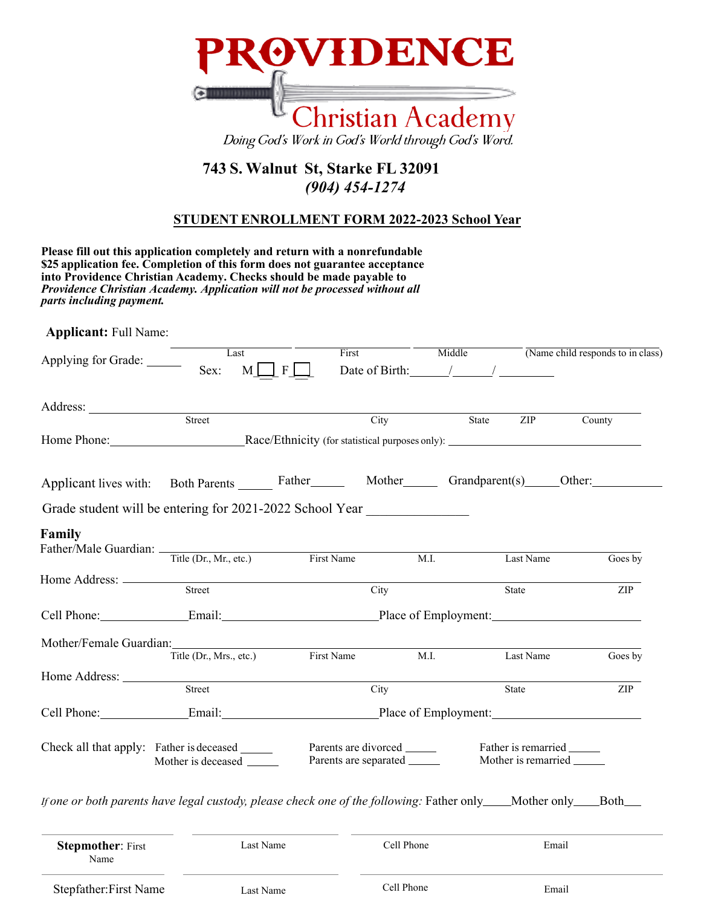

## **743 S. Walnut St, Starke FL 32091**  *(904) 454-1274*

## **STUDENT ENROLLMENT FORM 2022-2023 School Year**

| Providence Christian Academy. Application will not be processed without all<br>parts including payment.   | into Providence Christian Academy. Checks should be made payable to |                                    |                                                       |       |           |                                                                                              |
|-----------------------------------------------------------------------------------------------------------|---------------------------------------------------------------------|------------------------------------|-------------------------------------------------------|-------|-----------|----------------------------------------------------------------------------------------------|
| <b>Applicant:</b> Full Name:                                                                              |                                                                     |                                    |                                                       |       |           |                                                                                              |
| Applying for Grade:                                                                                       | Last<br>Sex:<br>M <sub>l</sub>                                      | $\mathbf{F}$                       | First<br>Date of Birth: $\frac{1}{2}$ / $\frac{1}{2}$ |       |           | $\overline{\hspace{1cm}}$ Middle $\overline{\hspace{1cm}}$ (Name child responds to in class) |
|                                                                                                           |                                                                     |                                    |                                                       |       |           |                                                                                              |
|                                                                                                           | Street                                                              |                                    | City                                                  | State | ZIP       | County                                                                                       |
|                                                                                                           |                                                                     |                                    |                                                       |       |           |                                                                                              |
| Applicant lives with: Both Parents Father Mother Grandparent(s) Other:                                    |                                                                     |                                    |                                                       |       |           |                                                                                              |
|                                                                                                           |                                                                     |                                    |                                                       |       |           |                                                                                              |
| Grade student will be entering for 2021-2022 School Year                                                  |                                                                     |                                    |                                                       |       |           |                                                                                              |
| Family                                                                                                    |                                                                     |                                    |                                                       |       |           |                                                                                              |
|                                                                                                           |                                                                     |                                    | $\overline{\mathbf{M}}$ . I.                          |       | Last Name | Goes by                                                                                      |
|                                                                                                           |                                                                     |                                    |                                                       |       |           |                                                                                              |
|                                                                                                           | Street                                                              |                                    | City                                                  |       | State     | ZIP                                                                                          |
|                                                                                                           |                                                                     |                                    |                                                       |       |           |                                                                                              |
|                                                                                                           |                                                                     |                                    |                                                       |       |           |                                                                                              |
|                                                                                                           |                                                                     | Title (Dr., Mrs., etc.) First Name |                                                       | M.I.  | Last Name | Goes by                                                                                      |
|                                                                                                           |                                                                     |                                    |                                                       |       |           |                                                                                              |
|                                                                                                           | Street                                                              |                                    | City                                                  |       | State     | ZIP                                                                                          |
| Father/Male Guardian: Title (Dr., Mr., etc.) First Name<br>Cell Phone: Email: Email: Place of Employment: |                                                                     |                                    |                                                       |       |           |                                                                                              |

| <b>Stepmother: First</b><br>Name | Last Name |            | Email |  |
|----------------------------------|-----------|------------|-------|--|
| Stepfather: First Name           | Last Name | Cell Phone | Email |  |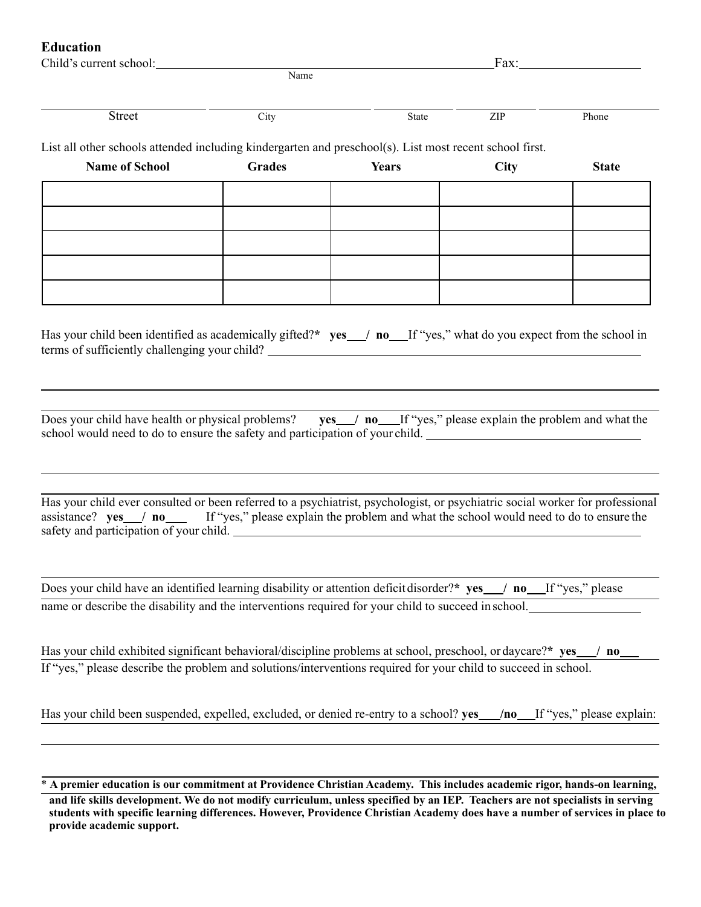## **Education**

| Child's current school: |      | ப் கொ<br>'αл |  |
|-------------------------|------|--------------|--|
|                         | Name |              |  |
|                         |      |              |  |

Street City City State ZIP Phone

List all other schools attended including kindergarten and preschool(s). List most recent school first.

| <b>Name of School</b> | <b>Grades</b> | <b>Years</b> | City | <b>State</b> |
|-----------------------|---------------|--------------|------|--------------|
|                       |               |              |      |              |
|                       |               |              |      |              |
|                       |               |              |      |              |
|                       |               |              |      |              |
|                       |               |              |      |              |

Has your child been identified as academically gifted?\* yes / no If "yes," what do you expect from the school in terms of sufficiently challenging your child?

| Does your child have health or physical problems? yes in no Lif "yes," please explain the problem and what the |  |  |
|----------------------------------------------------------------------------------------------------------------|--|--|
| school would need to do to ensure the safety and participation of your child.                                  |  |  |

Has your child ever consulted or been referred to a psychiatrist, psychologist, or psychiatric social worker for professional assistance? **yes** / **no** If "yes," please explain the problem and what the school would need to do to ensure the safety and participation of your child.

Does your child have an identified learning disability or attention deficitdisorder?**\* yes / no** If "yes," please name or describe the disability and the interventions required for your child to succeed in school.

Has your child exhibited significant behavioral/discipline problems at school, preschool, or daycare?**\* yes / no**  If "yes," please describe the problem and solutions/interventions required for your child to succeed in school.

|  |  | Has your child been suspended, expelled, excluded, or denied re-entry to a school? yes _____/no____If "yes," please explain: |  |  |
|--|--|------------------------------------------------------------------------------------------------------------------------------|--|--|
|--|--|------------------------------------------------------------------------------------------------------------------------------|--|--|

\* **A premier education is our commitment at Providence Christian Academy. This includes academic rigor, hands-on learning, and life skills development. We do not modify curriculum, unless specified by an IEP. Teachers are not specialists in serving students with specific learning differences. However, Providence Christian Academy does have a number of services in place to provide academic support.**